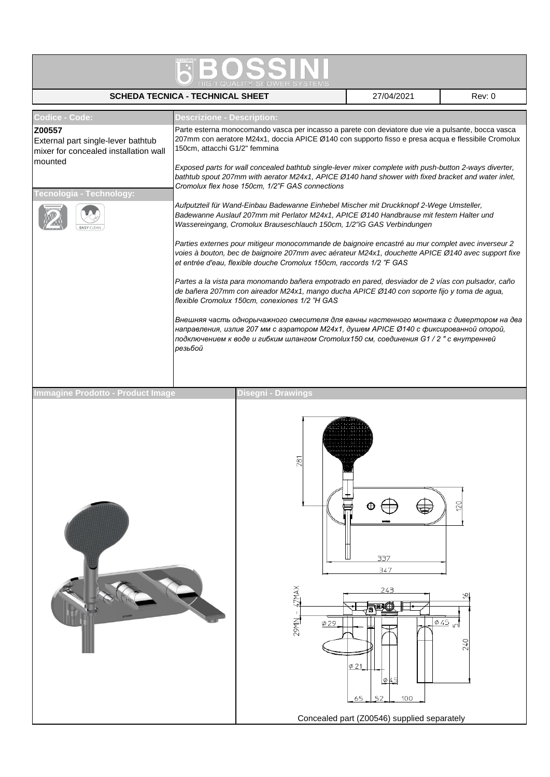|                                                                                                                                                       | <b>SCHEDA TECNICA - TECHNICAL SHEET</b>                                                                                                                                                                                                                                                                                                                                                                                                                                                                                                                                                                                                                                                                                                                                                                                         |                                   | 27/04/2021                                                                                             | Rev: 0     |  |  |  |  |  |  |
|-------------------------------------------------------------------------------------------------------------------------------------------------------|---------------------------------------------------------------------------------------------------------------------------------------------------------------------------------------------------------------------------------------------------------------------------------------------------------------------------------------------------------------------------------------------------------------------------------------------------------------------------------------------------------------------------------------------------------------------------------------------------------------------------------------------------------------------------------------------------------------------------------------------------------------------------------------------------------------------------------|-----------------------------------|--------------------------------------------------------------------------------------------------------|------------|--|--|--|--|--|--|
| <b>Codice - Code:</b><br>Z00557<br>External part single-lever bathtub<br>mixer for concealed installation wall<br>mounted<br>Fecnologia - Technology: | <b>Descrizione - Description:</b><br>Parte esterna monocomando vasca per incasso a parete con deviatore due vie a pulsante, bocca vasca<br>207mm con aeratore M24x1, doccia APICE Ø140 con supporto fisso e presa acqua e flessibile Cromolux<br>150cm, attacchi G1/2" femmina<br>Exposed parts for wall concealed bathtub single-lever mixer complete with push-button 2-ways diverter,<br>bathtub spout 207mm with aerator M24x1, APICE Ø140 hand shower with fixed bracket and water inlet,<br>Cromolux flex hose 150cm, 1/2"F GAS connections<br>Aufputzteil für Wand-Einbau Badewanne Einhebel Mischer mit Druckknopf 2-Wege Umsteller,<br>Badewanne Auslauf 207mm mit Perlator M24x1, APICE Ø140 Handbrause mit festem Halter und<br>Wassereingang, Cromolux Brauseschlauch 150cm, 1/2"iG GAS Verbindungen                |                                   |                                                                                                        |            |  |  |  |  |  |  |
|                                                                                                                                                       | Parties externes pour mitigeur monocommande de baignoire encastré au mur complet avec inverseur 2<br>voies à bouton, bec de baignoire 207mm avec aérateur M24x1, douchette APICE Ø 140 avec support fixe<br>et entrée d'eau, flexible douche Cromolux 150cm, raccords 1/2 "F GAS<br>Partes a la vista para monomando bañera empotrado en pared, desviador de 2 vías con pulsador, caño<br>de bañera 207mm con aireador M24x1, mango ducha APICE Ø 140 con soporte fijo y toma de agua,<br>flexible Cromolux 150cm, conexiones 1/2 "H GAS<br>Внешняя часть однорычажного смесителя для ванны настенного монтажа с дивертором на два<br>направления, излив 207 мм с аэратором M24x1, душем APICE Ø140 с фиксированной опорой,<br>подключением к воде и гибким шлангом Cromolux150 см, соединения G1 / 2 " с внутренней<br>резьбой |                                   |                                                                                                        |            |  |  |  |  |  |  |
| <b>Immagine Prodotto - Product Image</b>                                                                                                              |                                                                                                                                                                                                                                                                                                                                                                                                                                                                                                                                                                                                                                                                                                                                                                                                                                 | Disegni - Drawings                |                                                                                                        |            |  |  |  |  |  |  |
|                                                                                                                                                       |                                                                                                                                                                                                                                                                                                                                                                                                                                                                                                                                                                                                                                                                                                                                                                                                                                 | ò<br>XANL;<br><b>NINGZ</b><br>Ø29 | 337<br>347<br>243<br>۵<br>Ø21<br>045<br>100<br>65<br>52<br>Concealed part (Z00546) supplied separately | 120<br>045 |  |  |  |  |  |  |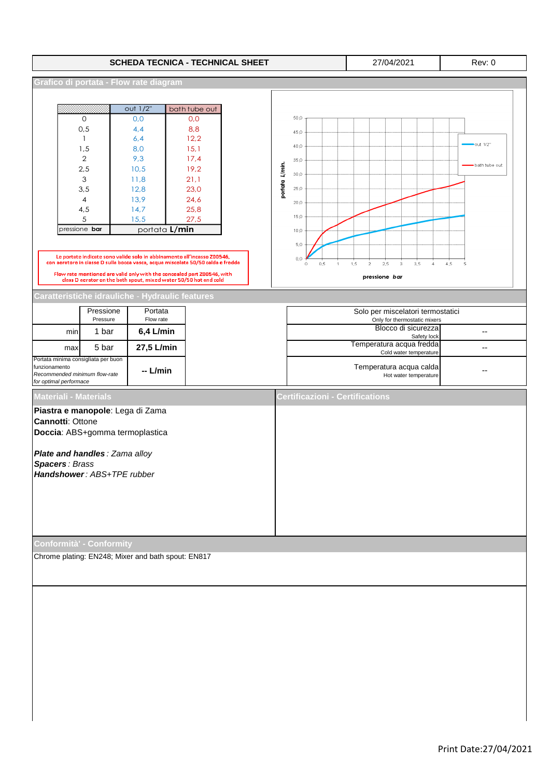|                                                                                                                                                     |                                                                             |                                                                             | <b>SCHEDA TECNICA - TECHNICAL SHEET</b>                                                                                                                                                                                                |                |                                                     |                       | 27/04/2021                                          |                | Rev: 0            |
|-----------------------------------------------------------------------------------------------------------------------------------------------------|-----------------------------------------------------------------------------|-----------------------------------------------------------------------------|----------------------------------------------------------------------------------------------------------------------------------------------------------------------------------------------------------------------------------------|----------------|-----------------------------------------------------|-----------------------|-----------------------------------------------------|----------------|-------------------|
|                                                                                                                                                     |                                                                             | Grafico di portata - Flow rate diagram                                      |                                                                                                                                                                                                                                        |                |                                                     |                       |                                                     |                |                   |
|                                                                                                                                                     | 0<br>0, 5<br>1                                                              | out 1/2"<br>0,0<br>4, 4<br>6,4                                              | bath tube out<br>0,0<br>8,8<br>12,2                                                                                                                                                                                                    |                | 50,0<br>45,0<br>40,0                                |                       |                                                     |                | out 1/2"          |
|                                                                                                                                                     | 1,5<br>$\overline{2}$<br>2,5<br>3<br>3, 5<br>4<br>4,5<br>5<br>pressione bar | 8,0<br>9,3<br>10,5<br>11,8<br>12,8<br>13,9<br>14,7<br>15,5<br>portata L/min | 15,1<br>17,4<br>19,2<br>21,1<br>23,0<br>24,6<br>25,8<br>27,5                                                                                                                                                                           | portata L/min. | 35,0<br>30,0<br>25,0<br>20,0<br>15,0<br>10,0<br>5,0 |                       |                                                     |                | bath tube out     |
|                                                                                                                                                     |                                                                             |                                                                             | Le portate indicate sono valide solo in abbinamento all'incasso Z00546,<br>con aeratore in classe D sulla bocca vasca, acqua miscelata 50/50 calda e fredda<br>Flow rate mentioned are valid only with the concealed part Z00546, with |                | $_{0,0}$<br>0,5<br>$\mathbf{1}$<br>$\,0\,$          | 1,5<br>$\overline{2}$ | 2,5<br>3,5<br>$_{3}$<br>pressione bar               | $\overline{4}$ | 4,5<br>$\sqrt{5}$ |
|                                                                                                                                                     |                                                                             |                                                                             | class D aerator on the bath spout, mixed water 50/50 hot and cold<br>Caratteristiche idrauliche - Hydraulic features                                                                                                                   |                |                                                     |                       |                                                     |                |                   |
|                                                                                                                                                     | Pressione                                                                   | Portata                                                                     |                                                                                                                                                                                                                                        |                |                                                     |                       | Solo per miscelatori termostatici                   |                |                   |
| min                                                                                                                                                 | Pressure<br>1 bar                                                           | Flow rate<br>$6,4$ L/min                                                    |                                                                                                                                                                                                                                        |                |                                                     |                       | Only for thermostatic mixers<br>Blocco di sicurezza | Safety lock    | $-$               |
| max                                                                                                                                                 | 5 bar                                                                       | 27,5 L/min                                                                  |                                                                                                                                                                                                                                        |                |                                                     |                       | Temperatura acqua fredda<br>Cold water temperature  |                | --                |
| Portata minima consigliata per buon<br>funzionamento<br>Recommended minimum flow-rate<br>for optimal performace                                     |                                                                             | -- L/min                                                                    |                                                                                                                                                                                                                                        |                |                                                     |                       | Temperatura acqua calda<br>Hot water temperature    |                | ٠.                |
| <b>Materiali - Materials</b>                                                                                                                        |                                                                             |                                                                             |                                                                                                                                                                                                                                        |                | Certificazioni - Certifications                     |                       |                                                     |                |                   |
| <b>Cannotti: Ottone</b><br>Plate and handles : Zama alloy<br><b>Spacers: Brass</b><br>Handshower: ABS+TPE rubber<br><b>Conformità' - Conformity</b> |                                                                             | Piastra e manopole: Lega di Zama<br>Doccia: ABS+gomma termoplastica         |                                                                                                                                                                                                                                        |                |                                                     |                       |                                                     |                |                   |
|                                                                                                                                                     |                                                                             | Chrome plating: EN248; Mixer and bath spout: EN817                          |                                                                                                                                                                                                                                        |                |                                                     |                       |                                                     |                |                   |
|                                                                                                                                                     |                                                                             |                                                                             |                                                                                                                                                                                                                                        |                |                                                     |                       |                                                     |                |                   |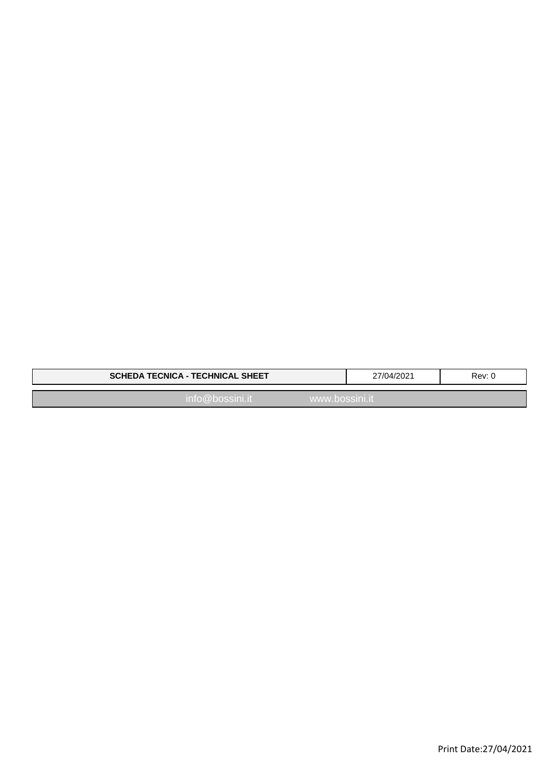| <b>SCHEDA TECNICA - TECHNICAL SHEET</b> | 27/04/2021 | Rev: 0 |
|-----------------------------------------|------------|--------|
| $into@$ bossini.it<br>www.bossini.it    |            |        |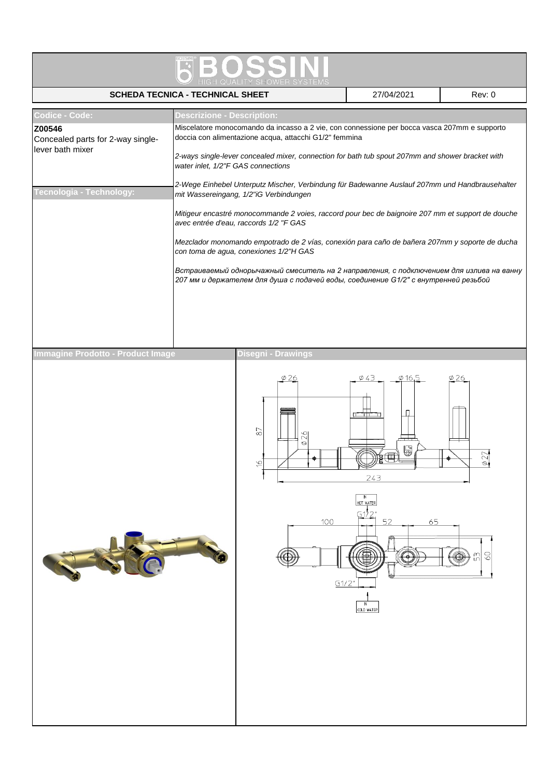|                                                                                                                                                                                                                                                                                                                            | <b>SCHEDA TECNICA - TECHNICAL SHEET</b>                                                                                                                                                                                                                                                         |                                                                    | 27/04/2021                                                   | Rev: 0 |  |  |  |  |  |  |
|----------------------------------------------------------------------------------------------------------------------------------------------------------------------------------------------------------------------------------------------------------------------------------------------------------------------------|-------------------------------------------------------------------------------------------------------------------------------------------------------------------------------------------------------------------------------------------------------------------------------------------------|--------------------------------------------------------------------|--------------------------------------------------------------|--------|--|--|--|--|--|--|
| <b>Codice - Code:</b><br>Z00546<br>Concealed parts for 2-way single-<br>lever bath mixer                                                                                                                                                                                                                                   | <b>Descrizione - Description:</b><br>Miscelatore monocomando da incasso a 2 vie, con connessione per bocca vasca 207mm e supporto<br>doccia con alimentazione acqua, attacchi G1/2" femmina<br>2-ways single-lever concealed mixer, connection for bath tub spout 207mm and shower bracket with |                                                                    |                                                              |        |  |  |  |  |  |  |
|                                                                                                                                                                                                                                                                                                                            | water inlet, 1/2"F GAS connections<br>2-Wege Einhebel Unterputz Mischer, Verbindung für Badewanne Auslauf 207mm und Handbrausehalter                                                                                                                                                            |                                                                    |                                                              |        |  |  |  |  |  |  |
| Tecnologia - Technology:<br>mit Wassereingang, 1/2"iG Verbindungen<br>Mitigeur encastré monocommande 2 voies, raccord pour bec de baignoire 207 mm et support de douche<br>avec entrée d'eau, raccords 1/2 "F GAS                                                                                                          |                                                                                                                                                                                                                                                                                                 |                                                                    |                                                              |        |  |  |  |  |  |  |
| Mezclador monomando empotrado de 2 vías, conexión para caño de bañera 207mm y soporte de ducha<br>con toma de agua, conexiones 1/2"H GAS<br>Встраиваемый однорычажный смеситель на 2 направления, с подключением для излива на ванну<br>207 мм и держателем для душа с подачей воды, соединение G1/2" с внутренней резьбой |                                                                                                                                                                                                                                                                                                 |                                                                    |                                                              |        |  |  |  |  |  |  |
|                                                                                                                                                                                                                                                                                                                            |                                                                                                                                                                                                                                                                                                 |                                                                    |                                                              |        |  |  |  |  |  |  |
| Immagine Prodotto - Product Image                                                                                                                                                                                                                                                                                          |                                                                                                                                                                                                                                                                                                 | Disegni - Drawings                                                 |                                                              |        |  |  |  |  |  |  |
|                                                                                                                                                                                                                                                                                                                            |                                                                                                                                                                                                                                                                                                 | $\stackrel{\textstyle\frown}{\in}$<br>82<br>$\circ$<br>100<br>61/2 | Ø 16<br>5<br>243<br>HOT WATER<br>52<br>65<br>N<br>COLD WATER | 3      |  |  |  |  |  |  |